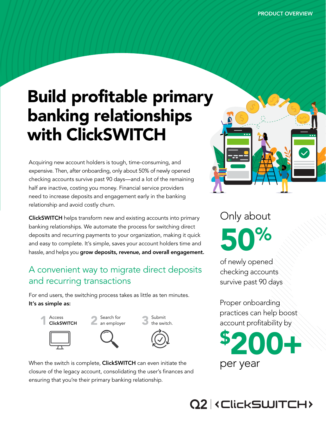# Build profitable primary banking relationships with ClickSWITCH

Acquiring new account holders is tough, time-consuming, and expensive. Then, after onboarding, only about 50% of newly opened checking accounts survive past 90 days—and a lot of the remaining half are inactive, costing you money. Financial service providers need to increase deposits and engagement early in the banking relationship and avoid costly churn.

ClickSWITCH helps transform new and existing accounts into primary banking relationships. We automate the process for switching direct deposits and recurring payments to your organization, making it quick and easy to complete. It's simple, saves your account holders time and hassle, and helps you grow deposits, revenue, and overall engagement.

# A convenient way to migrate direct deposits and recurring transactions

For end users, the switching process takes as little as ten minutes.

### It's as simple as:











When the switch is complete, ClickSWITCH can even initiate the closure of the legacy account, consolidating the user's finances and ensuring that you're their primary banking relationship.



Only about 50

of newly opened checking accounts survive past 90 days

Proper onboarding practices can help boost account profitability by